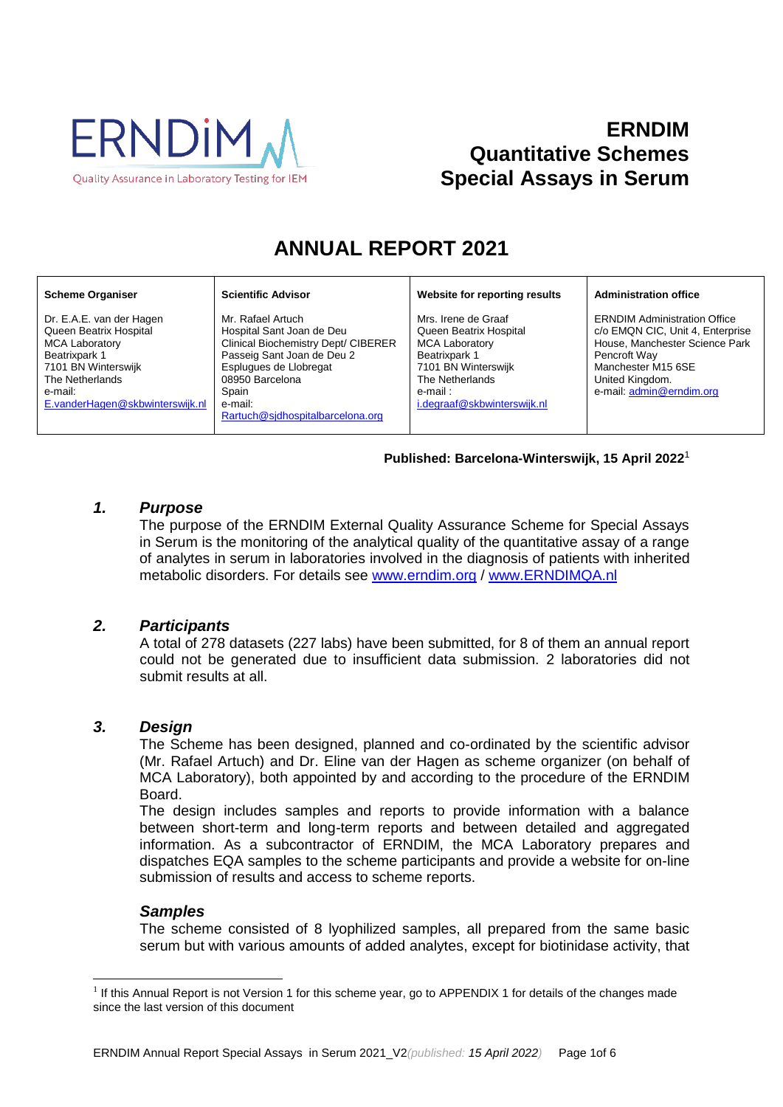

# **ERNDIM Quantitative Schemes Special Assays in Serum**

# **ANNUAL REPORT 2021**

#### **Scheme Organiser**

Dr. E.A.E. van der Hagen Queen Beatrix Hospital MCA Laboratory Beatrixpark 1 7101 BN Winterswijk The Netherlands e-mail: [E.vanderHagen@skbwinterswijk.nl](mailto:E.vanderHagen@skbwinterswijk.nl) Mr. Rafael Artuch Hospital Sant Joan de Deu Clinical Biochemistry Dept/ CIBERER Passeig Sant Joan de Deu 2 Esplugues de Llobregat 08950 Barcelona Spain e-mail: [Rartuch@sjdhospitalbarcelona.org](mailto:Rartuch@sjdhospitalbarcelona.org)

**Scientific Advisor**

#### **Website for reporting results**

Mrs. Irene de Graaf Queen Beatrix Hospital MCA Laboratory Beatrixpark 1 7101 BN Winterswijk The Netherlands e-mail : [i.degraaf@skbwinterswijk.nl](mailto:i.degraaf@skbwinterswijk.nl)

#### **Administration office**

ERNDIM Administration Office c/o EMQN CIC, Unit 4, Enterprise House, Manchester Science Park Pencroft Way Manchester M15 6SE United Kingdom. e-mail[: admin@erndim.org](mailto:admin@erndim.org)

#### **Published: Barcelona-Winterswijk, 15 April 2022** 1

# *1. Purpose*

The purpose of the ERNDIM External Quality Assurance Scheme for Special Assays in Serum is the monitoring of the analytical quality of the quantitative assay of a range of analytes in serum in laboratories involved in the diagnosis of patients with inherited metabolic disorders. For details see [www.erndim.o](http://www.erndim.unibas.ch/)rg / [www.ERNDIMQA.nl](http://www.erndimqa.nl/)

## *2. Participants*

A total of 278 datasets (227 labs) have been submitted, for 8 of them an annual report could not be generated due to insufficient data submission. 2 laboratories did not submit results at all.

## *3. Design*

The Scheme has been designed, planned and co-ordinated by the scientific advisor (Mr. Rafael Artuch) and Dr. Eline van der Hagen as scheme organizer (on behalf of MCA Laboratory), both appointed by and according to the procedure of the ERNDIM Board.

The design includes samples and reports to provide information with a balance between short-term and long-term reports and between detailed and aggregated information. As a subcontractor of ERNDIM, the MCA Laboratory prepares and dispatches EQA samples to the scheme participants and provide a website for on-line submission of results and access to scheme reports.

## *Samples*

 $\overline{a}$ 

The scheme consisted of 8 lyophilized samples, all prepared from the same basic serum but with various amounts of added analytes, except for biotinidase activity, that

<sup>&</sup>lt;sup>1</sup> If this Annual Report is not Version 1 for this scheme year, go to [APPENDIX 1](#page-5-0) for details of the changes made since the last version of this document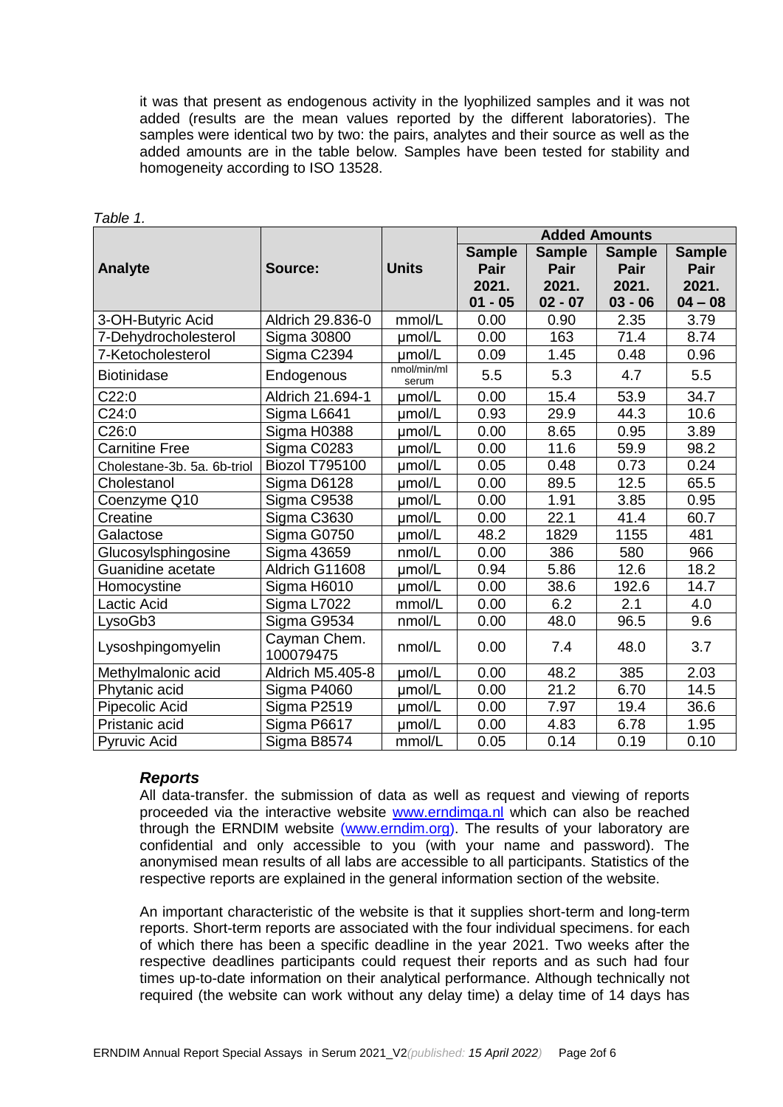it was that present as endogenous activity in the lyophilized samples and it was not added (results are the mean values reported by the different laboratories). The samples were identical two by two: the pairs, analytes and their source as well as the added amounts are in the table below. Samples have been tested for stability and homogeneity according to ISO 13528.

|                             |                           |                      | <b>Added Amounts</b> |               |               |               |
|-----------------------------|---------------------------|----------------------|----------------------|---------------|---------------|---------------|
|                             |                           |                      | <b>Sample</b>        | <b>Sample</b> | <b>Sample</b> | <b>Sample</b> |
| <b>Analyte</b>              | Source:                   | <b>Units</b>         | Pair                 | Pair          | Pair          | Pair          |
|                             |                           |                      | 2021.                | 2021.         | 2021.         | 2021.         |
|                             |                           |                      | $01 - 05$            | $02 - 07$     | $03 - 06$     | $04 - 08$     |
| 3-OH-Butyric Acid           | Aldrich 29.836-0          | mmol/L               | 0.00                 | 0.90          | 2.35          | 3.79          |
| 7-Dehydrocholesterol        | <b>Sigma 30800</b>        | umol/L               | 0.00                 | 163           | 71.4          | 8.74          |
| 7-Ketocholesterol           | Sigma C2394               | umol/L               | 0.09                 | 1.45          | 0.48          | 0.96          |
| <b>Biotinidase</b>          | Endogenous                | nmol/min/ml<br>serum | 5.5                  | 5.3           | 4.7           | 5.5           |
| C22:0                       | Aldrich 21.694-1          | umol/L               | 0.00                 | 15.4          | 53.9          | 34.7          |
| C24:0                       | Sigma L6641               | umol/L               | 0.93                 | 29.9          | 44.3          | 10.6          |
| C26:0                       | Sigma H0388               | umol/L               | 0.00                 | 8.65          | 0.95          | 3.89          |
| <b>Carnitine Free</b>       | Sigma C0283               | umol/L               | 0.00                 | 11.6          | 59.9          | 98.2          |
| Cholestane-3b. 5a. 6b-triol | <b>Biozol T795100</b>     | µmol/L               | 0.05                 | 0.48          | 0.73          | 0.24          |
| Cholestanol                 | Sigma D6128               | umol/L               | 0.00                 | 89.5          | 12.5          | 65.5          |
| Coenzyme Q10                | Sigma C9538               | umol/L               | 0.00                 | 1.91          | 3.85          | 0.95          |
| Creatine                    | Sigma C3630               | µmol/L               | 0.00                 | 22.1          | 41.4          | 60.7          |
| Galactose                   | Sigma G0750               | µmol/L               | 48.2                 | 1829          | 1155          | 481           |
| Glucosylsphingosine         | Sigma 43659               | nmol/L               | 0.00                 | 386           | 580           | 966           |
| Guanidine acetate           | Aldrich G11608            | µmol/L               | 0.94                 | 5.86          | 12.6          | 18.2          |
| Homocystine                 | Sigma H6010               | umol/L               | 0.00                 | 38.6          | 192.6         | 14.7          |
| <b>Lactic Acid</b>          | Sigma L7022               | mmol/L               | 0.00                 | 6.2           | 2.1           | 4.0           |
| LysoGb3                     | Sigma G9534               | nmol/L               | 0.00                 | 48.0          | 96.5          | 9.6           |
| Lysoshpingomyelin           | Cayman Chem.<br>100079475 | nmol/L               | 0.00                 | 7.4           | 48.0          | 3.7           |
| Methylmalonic acid          | Aldrich M5.405-8          | umol/L               | 0.00                 | 48.2          | 385           | 2.03          |
| Phytanic acid               | Sigma P4060               | µmol/L               | 0.00                 | 21.2          | 6.70          | 14.5          |
| Pipecolic Acid              | Sigma P2519               | umol/L               | 0.00                 | 7.97          | 19.4          | 36.6          |
| Pristanic acid              | Sigma P6617               | umol/L               | 0.00                 | 4.83          | 6.78          | 1.95          |
| <b>Pyruvic Acid</b>         | Sigma B8574               | mmol/L               | 0.05                 | 0.14          | 0.19          | 0.10          |

*Table 1.*

#### *Reports*

All data-transfer. the submission of data as well as request and viewing of reports proceeded via the interactive website **www.erndimga.nl** which can also be reached through the ERNDIM website [\(www.erndim.org\)](http://www.erndim.org/). The results of your laboratory are confidential and only accessible to you (with your name and password). The anonymised mean results of all labs are accessible to all participants. Statistics of the respective reports are explained in the general information section of the website.

An important characteristic of the website is that it supplies short-term and long-term reports. Short-term reports are associated with the four individual specimens. for each of which there has been a specific deadline in the year 2021. Two weeks after the respective deadlines participants could request their reports and as such had four times up-to-date information on their analytical performance. Although technically not required (the website can work without any delay time) a delay time of 14 days has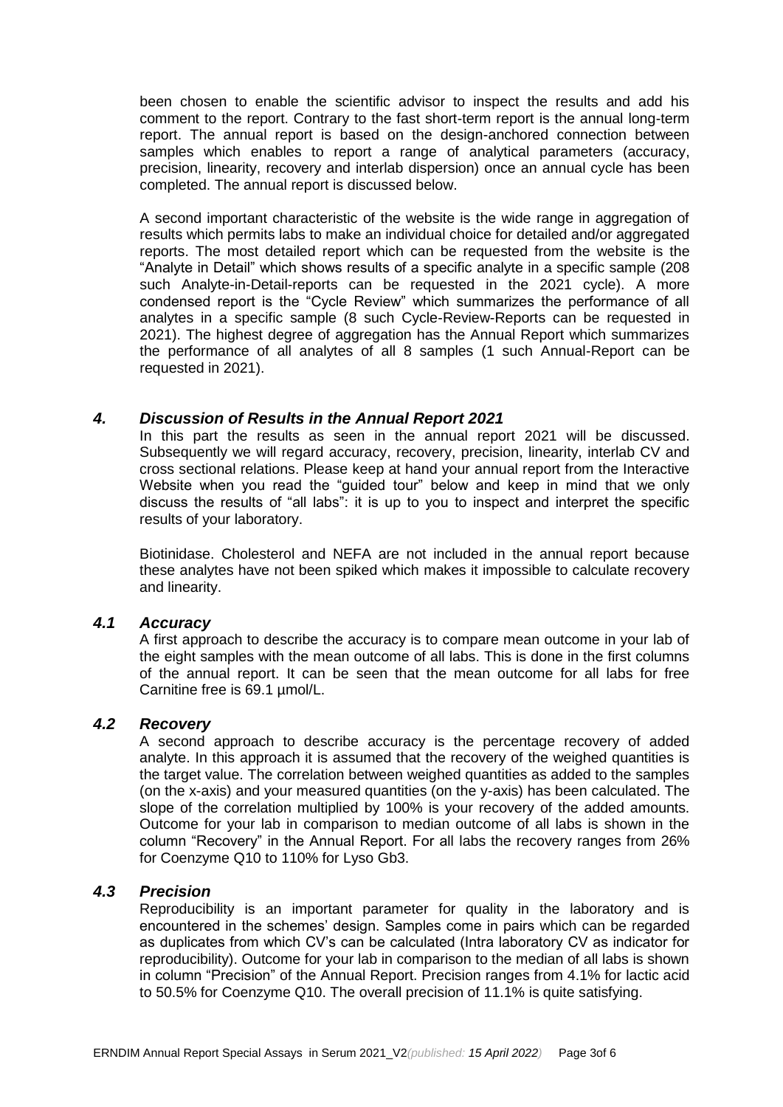been chosen to enable the scientific advisor to inspect the results and add his comment to the report. Contrary to the fast short-term report is the annual long-term report. The annual report is based on the design-anchored connection between samples which enables to report a range of analytical parameters (accuracy, precision, linearity, recovery and interlab dispersion) once an annual cycle has been completed. The annual report is discussed below.

A second important characteristic of the website is the wide range in aggregation of results which permits labs to make an individual choice for detailed and/or aggregated reports. The most detailed report which can be requested from the website is the "Analyte in Detail" which shows results of a specific analyte in a specific sample (208 such Analyte-in-Detail-reports can be requested in the 2021 cycle). A more condensed report is the "Cycle Review" which summarizes the performance of all analytes in a specific sample (8 such Cycle-Review-Reports can be requested in 2021). The highest degree of aggregation has the Annual Report which summarizes the performance of all analytes of all 8 samples (1 such Annual-Report can be requested in 2021).

#### *4. Discussion of Results in the Annual Report 2021*

In this part the results as seen in the annual report 2021 will be discussed. Subsequently we will regard accuracy, recovery, precision, linearity, interlab CV and cross sectional relations. Please keep at hand your annual report from the Interactive Website when you read the "guided tour" below and keep in mind that we only discuss the results of "all labs": it is up to you to inspect and interpret the specific results of your laboratory.

Biotinidase. Cholesterol and NEFA are not included in the annual report because these analytes have not been spiked which makes it impossible to calculate recovery and linearity.

## *4.1 Accuracy*

A first approach to describe the accuracy is to compare mean outcome in your lab of the eight samples with the mean outcome of all labs. This is done in the first columns of the annual report. It can be seen that the mean outcome for all labs for free Carnitine free is 69.1 umol/L.

## *4.2 Recovery*

A second approach to describe accuracy is the percentage recovery of added analyte. In this approach it is assumed that the recovery of the weighed quantities is the target value. The correlation between weighed quantities as added to the samples (on the x-axis) and your measured quantities (on the y-axis) has been calculated. The slope of the correlation multiplied by 100% is your recovery of the added amounts. Outcome for your lab in comparison to median outcome of all labs is shown in the column "Recovery" in the Annual Report. For all labs the recovery ranges from 26% for Coenzyme Q10 to 110% for Lyso Gb3.

#### *4.3 Precision*

Reproducibility is an important parameter for quality in the laboratory and is encountered in the schemes' design. Samples come in pairs which can be regarded as duplicates from which CV's can be calculated (Intra laboratory CV as indicator for reproducibility). Outcome for your lab in comparison to the median of all labs is shown in column "Precision" of the Annual Report. Precision ranges from 4.1% for lactic acid to 50.5% for Coenzyme Q10. The overall precision of 11.1% is quite satisfying.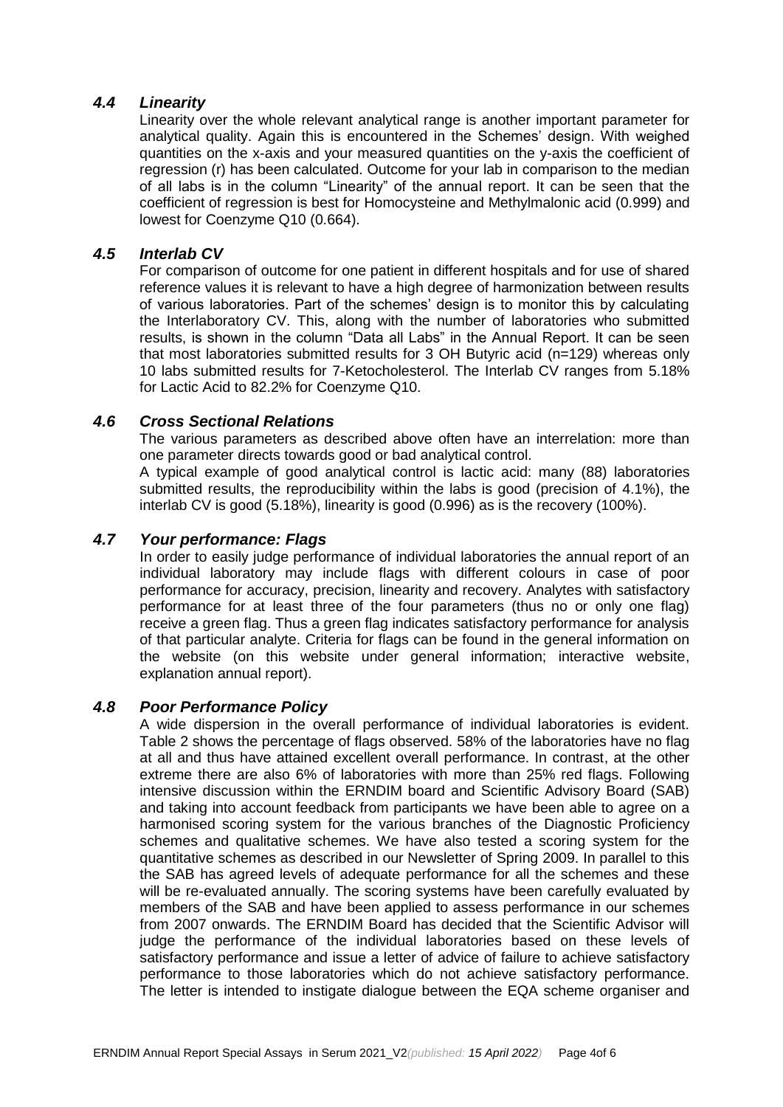# *4.4 Linearity*

Linearity over the whole relevant analytical range is another important parameter for analytical quality. Again this is encountered in the Schemes' design. With weighed quantities on the x-axis and your measured quantities on the y-axis the coefficient of regression (r) has been calculated. Outcome for your lab in comparison to the median of all labs is in the column "Linearity" of the annual report. It can be seen that the coefficient of regression is best for Homocysteine and Methylmalonic acid (0.999) and lowest for Coenzyme Q10 (0.664).

# *4.5 Interlab CV*

For comparison of outcome for one patient in different hospitals and for use of shared reference values it is relevant to have a high degree of harmonization between results of various laboratories. Part of the schemes' design is to monitor this by calculating the Interlaboratory CV. This, along with the number of laboratories who submitted results, is shown in the column "Data all Labs" in the Annual Report. It can be seen that most laboratories submitted results for 3 OH Butyric acid (n=129) whereas only 10 labs submitted results for 7-Ketocholesterol. The Interlab CV ranges from 5.18% for Lactic Acid to 82.2% for Coenzyme Q10.

## *4.6 Cross Sectional Relations*

The various parameters as described above often have an interrelation: more than one parameter directs towards good or bad analytical control.

A typical example of good analytical control is lactic acid: many (88) laboratories submitted results, the reproducibility within the labs is good (precision of 4.1%), the interlab CV is good (5.18%), linearity is good (0.996) as is the recovery (100%).

# *4.7 Your performance: Flags*

In order to easily judge performance of individual laboratories the annual report of an individual laboratory may include flags with different colours in case of poor performance for accuracy, precision, linearity and recovery. Analytes with satisfactory performance for at least three of the four parameters (thus no or only one flag) receive a green flag. Thus a green flag indicates satisfactory performance for analysis of that particular analyte. Criteria for flags can be found in the general information on the website (on this website under general information; interactive website, explanation annual report).

## *4.8 Poor Performance Policy*

A wide dispersion in the overall performance of individual laboratories is evident. Table 2 shows the percentage of flags observed. 58% of the laboratories have no flag at all and thus have attained excellent overall performance. In contrast, at the other extreme there are also 6% of laboratories with more than 25% red flags. Following intensive discussion within the ERNDIM board and Scientific Advisory Board (SAB) and taking into account feedback from participants we have been able to agree on a harmonised scoring system for the various branches of the Diagnostic Proficiency schemes and qualitative schemes. We have also tested a scoring system for the quantitative schemes as described in our Newsletter of Spring 2009. In parallel to this the SAB has agreed levels of adequate performance for all the schemes and these will be re-evaluated annually. The scoring systems have been carefully evaluated by members of the SAB and have been applied to assess performance in our schemes from 2007 onwards. The ERNDIM Board has decided that the Scientific Advisor will judge the performance of the individual laboratories based on these levels of satisfactory performance and issue a letter of advice of failure to achieve satisfactory performance to those laboratories which do not achieve satisfactory performance. The letter is intended to instigate dialogue between the EQA scheme organiser and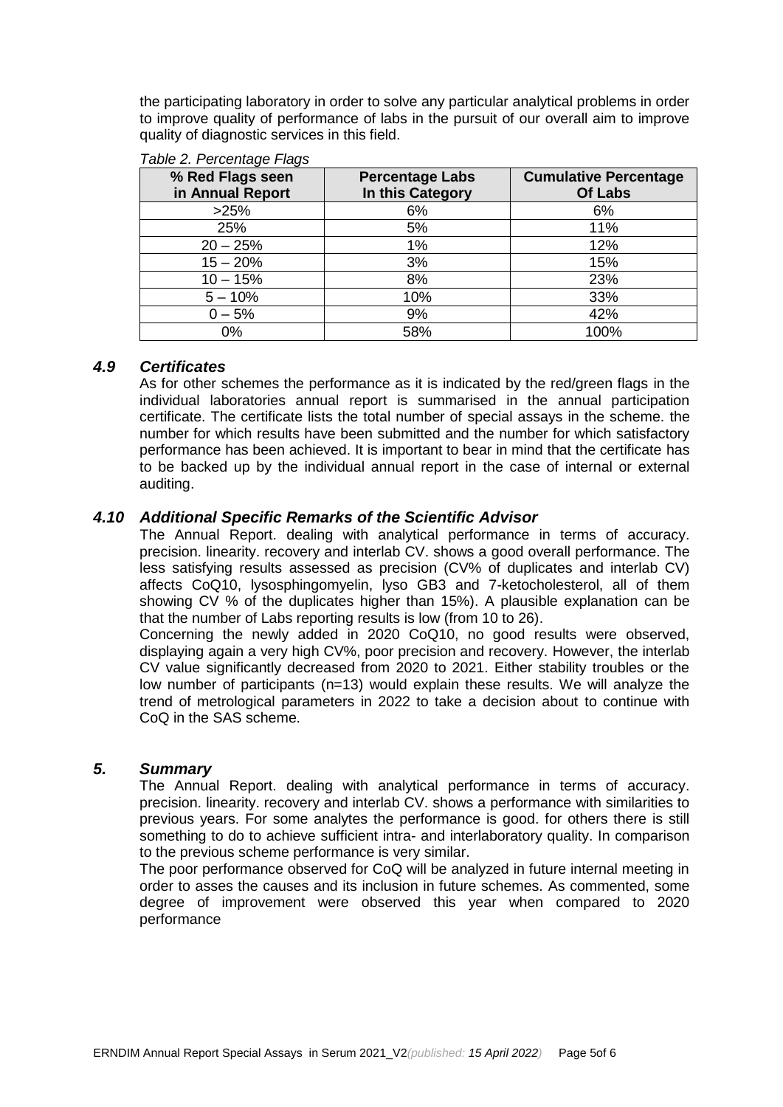the participating laboratory in order to solve any particular analytical problems in order to improve quality of performance of labs in the pursuit of our overall aim to improve quality of diagnostic services in this field.

| % Red Flags seen<br>in Annual Report | <b>Percentage Labs</b><br>In this Category | <b>Cumulative Percentage</b><br>Of Labs |
|--------------------------------------|--------------------------------------------|-----------------------------------------|
| >25%                                 | 6%                                         | 6%                                      |
| 25%                                  | 5%                                         | 11%                                     |
| $20 - 25%$                           | $1\%$                                      | 12%                                     |
| $15 - 20%$                           | 3%                                         | 15%                                     |
| $10 - 15%$                           | 8%                                         | 23%                                     |
| $5 - 10%$                            | 10%                                        | 33%                                     |
| $0 - 5%$                             | 9%                                         | 42%                                     |
| 0%                                   | 58%                                        | 100%                                    |

## *Table 2. Percentage Flags*

# *4.9 Certificates*

As for other schemes the performance as it is indicated by the red/green flags in the individual laboratories annual report is summarised in the annual participation certificate. The certificate lists the total number of special assays in the scheme. the number for which results have been submitted and the number for which satisfactory performance has been achieved. It is important to bear in mind that the certificate has to be backed up by the individual annual report in the case of internal or external auditing.

## *4.10 Additional Specific Remarks of the Scientific Advisor*

The Annual Report. dealing with analytical performance in terms of accuracy. precision. linearity. recovery and interlab CV. shows a good overall performance. The less satisfying results assessed as precision (CV% of duplicates and interlab CV) affects CoQ10, lysosphingomyelin, lyso GB3 and 7-ketocholesterol, all of them showing CV % of the duplicates higher than 15%). A plausible explanation can be that the number of Labs reporting results is low (from 10 to 26).

Concerning the newly added in 2020 CoQ10, no good results were observed, displaying again a very high CV%, poor precision and recovery. However, the interlab CV value significantly decreased from 2020 to 2021. Either stability troubles or the low number of participants (n=13) would explain these results. We will analyze the trend of metrological parameters in 2022 to take a decision about to continue with CoQ in the SAS scheme.

## *5. Summary*

The Annual Report. dealing with analytical performance in terms of accuracy. precision. linearity. recovery and interlab CV. shows a performance with similarities to previous years. For some analytes the performance is good. for others there is still something to do to achieve sufficient intra- and interlaboratory quality. In comparison to the previous scheme performance is very similar.

The poor performance observed for CoQ will be analyzed in future internal meeting in order to asses the causes and its inclusion in future schemes. As commented, some degree of improvement were observed this year when compared to 2020 performance